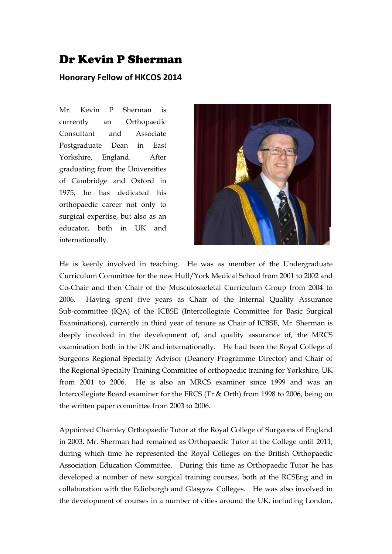## Dr Kevin P Sherman

## **Honorary Fellow of HKCOS 2014**

Mr. Kevin P Sherman is currently an Orthopaedic Consultant and Associate Postgraduate Dean in East Yorkshire, England. After graduating from the Universities of Cambridge and Oxford in 1975, he has dedicated his orthopaedic career not only to surgical expertise, but also as an educator, both in UK and internationally.



He is keenly involved in teaching. He was as member of the Undergraduate Curriculum Committee for the new Hull/York Medical School from 2001 to 2002 and Co-Chair and then Chair of the Musculoskeletal Curriculum Group from 2004 to 2006. Having spent five years as Chair of the Internal Quality Assurance Sub-committee (IQA) of the ICBSE (Intercollegiate Committee for Basic Surgical Examinations), currently in third year of tenure as Chair of ICBSE, Mr. Sherman is deeply involved in the development of, and quality assurance of, the MRCS examination both in the UK and internationally. He had been the Royal College of Surgeons Regional Specialty Advisor (Deanery Programme Director) and Chair of the Regional Specialty Training Committee of orthopaedic training for Yorkshire, UK from 2001 to 2006. He is also an MRCS examiner since 1999 and was an Intercollegiate Board examiner for the FRCS (Tr & Orth) from 1998 to 2006, being on the written paper committee from 2003 to 2006.

Appointed Charnley Orthopaedic Tutor at the Royal College of Surgeons of England in 2003, Mr. Sherman had remained as Orthopaedic Tutor at the College until 2011, during which time he represented the Royal Colleges on the British Orthopaedic Association Education Committee. During this time as Orthopaedic Tutor he has developed a number of new surgical training courses, both at the RCSEng and in collaboration with the Edinburgh and Glasgow Colleges. He was also involved in the development of courses in a number of cities around the UK, including London,